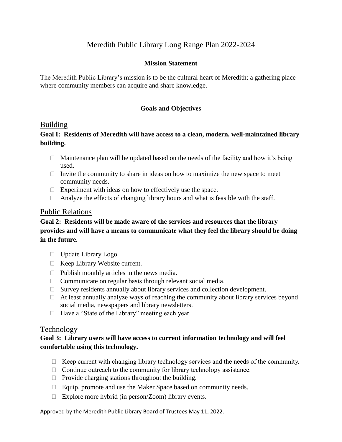# Meredith Public Library Long Range Plan 2022-2024

### **Mission Statement**

The Meredith Public Library's mission is to be the cultural heart of Meredith; a gathering place where community members can acquire and share knowledge.

### **Goals and Objectives**

### Building

## **Goal I: Residents of Meredith will have access to a clean, modern, well-maintained library building.**

- $\Box$  Maintenance plan will be updated based on the needs of the facility and how it's being used.
- $\Box$  Invite the community to share in ideas on how to maximize the new space to meet community needs.
- Experiment with ideas on how to effectively use the space.
- $\Box$  Analyze the effects of changing library hours and what is feasible with the staff.

### Public Relations

# **Goal 2: Residents will be made aware of the services and resources that the library provides and will have a means to communicate what they feel the library should be doing in the future.**

- Update Library Logo.
- $\Box$  Keep Library Website current.
- $\Box$  Publish monthly articles in the news media.
- $\Box$  Communicate on regular basis through relevant social media.
- $\Box$  Survey residents annually about library services and collection development.
- $\Box$  At least annually analyze ways of reaching the community about library services beyond social media, newspapers and library newsletters.
- $\Box$  Have a "State of the Library" meeting each year.

### Technology

## **Goal 3: Library users will have access to current information technology and will feel comfortable using this technology.**

- $\Box$  Keep current with changing library technology services and the needs of the community.
- $\Box$  Continue outreach to the community for library technology assistance.
- $\Box$  Provide charging stations throughout the building.
- $\Box$  Equip, promote and use the Maker Space based on community needs.
- $\Box$  Explore more hybrid (in person/Zoom) library events.

Approved by the Meredith Public Library Board of Trustees May 11, 2022.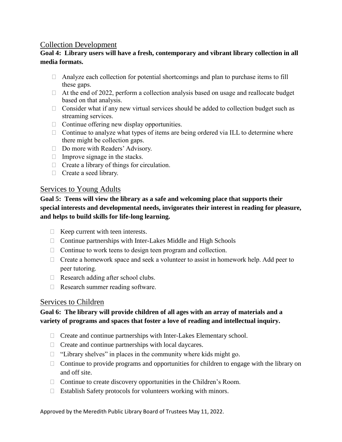# Collection Development

# **Goal 4: Library users will have a fresh, contemporary and vibrant library collection in all media formats.**

- $\Box$  Analyze each collection for potential shortcomings and plan to purchase items to fill these gaps.
- $\Box$  At the end of 2022, perform a collection analysis based on usage and reallocate budget based on that analysis.
- $\Box$  Consider what if any new virtual services should be added to collection budget such as streaming services.
- $\Box$  Continue offering new display opportunities.
- $\Box$  Continue to analyze what types of items are being ordered via ILL to determine where there might be collection gaps.
- □ Do more with Readers' Advisory.
- $\Box$  Improve signage in the stacks.
- $\Box$  Create a library of things for circulation.
- $\Box$  Create a seed library.

## Services to Young Adults

**Goal 5: Teens will view the library as a safe and welcoming place that supports their special interests and developmental needs, invigorates their interest in reading for pleasure, and helps to build skills for life-long learning.**

- $\Box$  Keep current with teen interests.
- $\Box$  Continue partnerships with Inter-Lakes Middle and High Schools
- $\Box$  Continue to work teens to design teen program and collection.
- $\Box$  Create a homework space and seek a volunteer to assist in homework help. Add peer to peer tutoring.
- $\Box$  Research adding after school clubs.
- $\Box$  Research summer reading software.

# Services to Children

# **Goal 6: The library will provide children of all ages with an array of materials and a variety of programs and spaces that foster a love of reading and intellectual inquiry.**

- $\Box$  Create and continue partnerships with Inter-Lakes Elementary school.
- $\Box$  Create and continue partnerships with local daycares.
- $\Box$  "Library shelves" in places in the community where kids might go.
- $\Box$  Continue to provide programs and opportunities for children to engage with the library on and off site.
- $\Box$  Continue to create discovery opportunities in the Children's Room.
- $\Box$  Establish Safety protocols for volunteers working with minors.

Approved by the Meredith Public Library Board of Trustees May 11, 2022.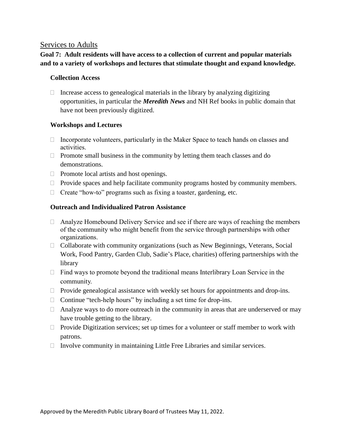## Services to Adults

## **Goal 7: Adult residents will have access to a collection of current and popular materials and to a variety of workshops and lectures that stimulate thought and expand knowledge.**

### **Collection Access**

 $\Box$  Increase access to genealogical materials in the library by analyzing digitizing opportunities, in particular the *Meredith News* and NH Ref books in public domain that have not been previously digitized.

### **Workshops and Lectures**

- $\Box$  Incorporate volunteers, particularly in the Maker Space to teach hands on classes and activities.
- $\Box$  Promote small business in the community by letting them teach classes and do demonstrations.
- $\Box$  Promote local artists and host openings.
- $\Box$  Provide spaces and help facilitate community programs hosted by community members.
- $\Box$  Create "how-to" programs such as fixing a toaster, gardening, etc.

### **Outreach and Individualized Patron Assistance**

- $\Box$  Analyze Homebound Delivery Service and see if there are ways of reaching the members of the community who might benefit from the service through partnerships with other organizations.
- $\Box$  Collaborate with community organizations (such as New Beginnings, Veterans, Social Work, Food Pantry, Garden Club, Sadie's Place, charities) offering partnerships with the library
- $\Box$  Find ways to promote beyond the traditional means Interlibrary Loan Service in the community.
- $\Box$  Provide genealogical assistance with weekly set hours for appointments and drop-ins.
- $\Box$  Continue "tech-help hours" by including a set time for drop-ins.
- $\Box$  Analyze ways to do more outreach in the community in areas that are underserved or may have trouble getting to the library.
- $\Box$  Provide Digitization services; set up times for a volunteer or staff member to work with patrons.
- $\Box$  Involve community in maintaining Little Free Libraries and similar services.